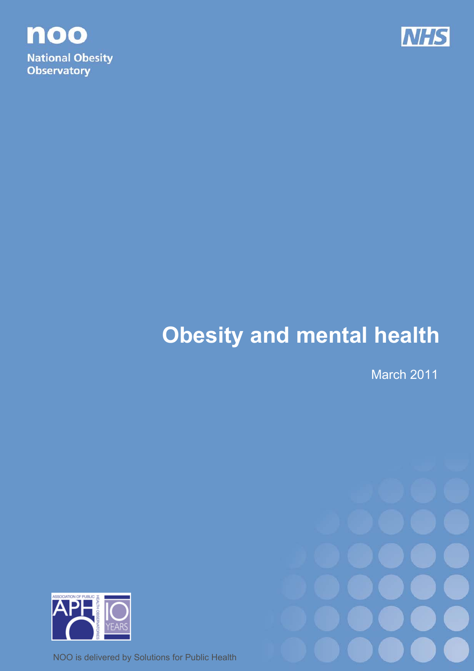



# **Obesity and mental health**

March 2011



NOO is delivered by Solutions for Public Health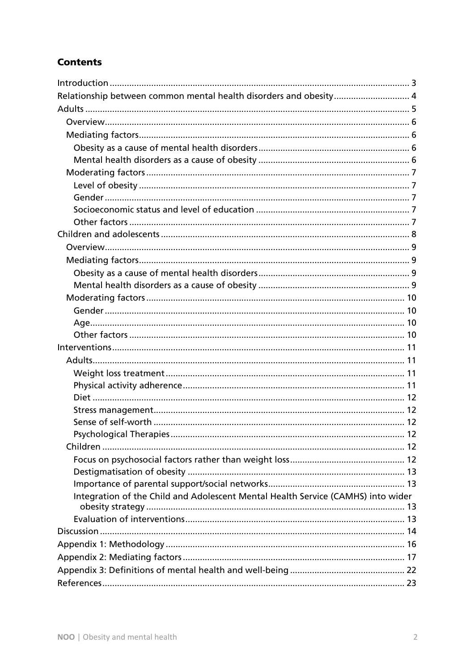# **Contents**

| Relationship between common mental health disorders and obesity 4                |    |
|----------------------------------------------------------------------------------|----|
|                                                                                  |    |
|                                                                                  |    |
|                                                                                  |    |
|                                                                                  |    |
|                                                                                  |    |
|                                                                                  |    |
|                                                                                  |    |
|                                                                                  |    |
|                                                                                  |    |
|                                                                                  |    |
|                                                                                  |    |
|                                                                                  |    |
|                                                                                  |    |
|                                                                                  |    |
|                                                                                  |    |
|                                                                                  |    |
|                                                                                  |    |
|                                                                                  |    |
|                                                                                  |    |
|                                                                                  |    |
|                                                                                  |    |
|                                                                                  |    |
|                                                                                  |    |
|                                                                                  |    |
|                                                                                  |    |
|                                                                                  |    |
|                                                                                  | 12 |
|                                                                                  |    |
|                                                                                  |    |
|                                                                                  |    |
|                                                                                  |    |
| Integration of the Child and Adolescent Mental Health Service (CAMHS) into wider |    |
|                                                                                  |    |
|                                                                                  |    |
|                                                                                  |    |
|                                                                                  |    |
|                                                                                  |    |
|                                                                                  |    |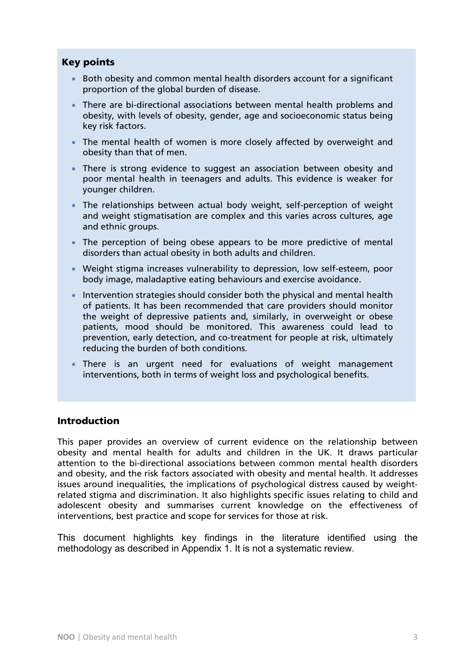## Key points

- Both obesity and common mental health disorders account for a significant proportion of the global burden of disease.
- There are bi-directional associations between mental health problems and obesity, with levels of obesity, gender, age and socioeconomic status being key risk factors.
- The mental health of women is more closely affected by overweight and obesity than that of men.
- There is strong evidence to suggest an association between obesity and poor mental health in teenagers and adults. This evidence is weaker for younger children.
- The relationships between actual body weight, self-perception of weight and weight stigmatisation are complex and this varies across cultures, age and ethnic groups.
- The perception of being obese appears to be more predictive of mental disorders than actual obesity in both adults and children.
- Weight stigma increases vulnerability to depression, low self-esteem, poor body image, maladaptive eating behaviours and exercise avoidance.
- Intervention strategies should consider both the physical and mental health of patients. It has been recommended that care providers should monitor the weight of depressive patients and, similarly, in overweight or obese patients, mood should be monitored. This awareness could lead to prevention, early detection, and co-treatment for people at risk, ultimately reducing the burden of both conditions.
- There is an urgent need for evaluations of weight management interventions, both in terms of weight loss and psychological benefits.

#### Introduction

This paper provides an overview of current evidence on the relationship between obesity and mental health for adults and children in the UK. It draws particular attention to the bi-directional associations between common mental health disorders and obesity, and the risk factors associated with obesity and mental health. It addresses issues around inequalities, the implications of psychological distress caused by weightrelated stigma and discrimination. It also highlights specific issues relating to child and adolescent obesity and summarises current knowledge on the effectiveness of interventions, best practice and scope for services for those at risk.

This document highlights key findings in the literature identified using the methodology as described in Appendix 1. It is not a systematic review.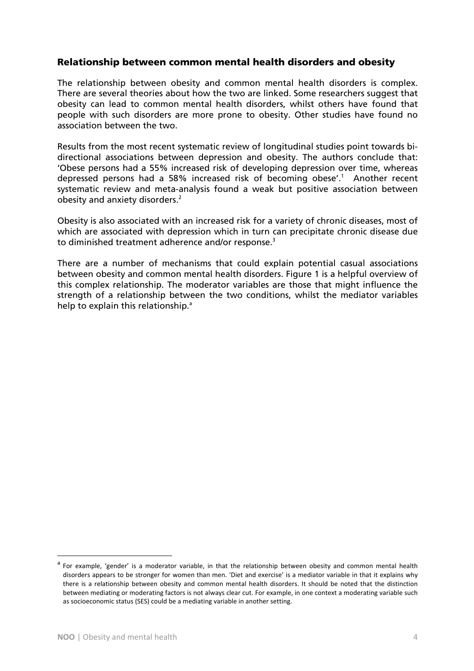#### Relationship between common mental health disorders and obesity

The relationship between obesity and common mental health disorders is complex. There are several theories about how the two are linked. Some researchers suggest that obesity can lead to common mental health disorders, whilst others have found that people with such disorders are more prone to obesity. Other studies have found no association between the two.

Results from the most recent systematic review of longitudinal studies point towards bidirectional associations between depression and obesity. The authors conclude that: 'Obese persons had a 55% increased risk of developing depression over time, whereas depressed persons had a 58% increased risk of becoming obese'.<sup>1</sup> Another recent systematic review and meta-analysis found a weak but positive association between obesity and anxiety disorders.<sup>2</sup>

Obesity is also associated with an increased risk for a variety of chronic diseases, most of which are associated with depression which in turn can precipitate chronic disease due to diminished treatment adherence and/or response.<sup>3</sup>

There are a number of mechanisms that could explain potential casual associations between obesity and common mental health disorders. Figure 1 is a helpful overview of this complex relationship. The moderator variables are those that might influence the strength of a relationship between the two conditions, whilst the mediator variables help to explain this relationship.<sup>a</sup>

 $\overline{a}$ 

For example, 'gender' is a moderator variable, in that the relationship between obesity and common mental health disorders appears to be stronger for women than men. 'Diet and exercise' is a mediator variable in that it explains why there is a relationship between obesity and common mental health disorders. It should be noted that the distinction between mediating or moderating factors is not always clear cut. For example, in one context a moderating variable such as socioeconomic status (SES) could be a mediating variable in another setting.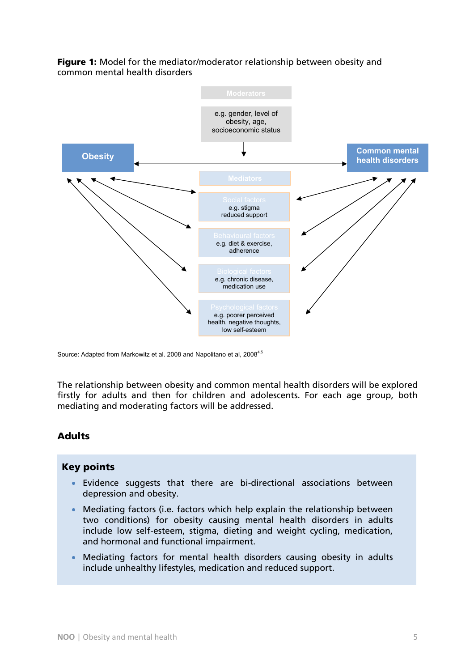

Figure 1: Model for the mediator/moderator relationship between obesity and common mental health disorders

Source: Adapted from Markowitz et al. 2008 and Napolitano et al, 2008<sup>4,5</sup>

The relationship between obesity and common mental health disorders will be explored firstly for adults and then for children and adolescents. For each age group, both mediating and moderating factors will be addressed.

#### Adults

#### Key points

- Evidence suggests that there are bi-directional associations between depression and obesity.
- Mediating factors (i.e. factors which help explain the relationship between two conditions) for obesity causing mental health disorders in adults include low self-esteem, stigma, dieting and weight cycling, medication, and hormonal and functional impairment.
- Mediating factors for mental health disorders causing obesity in adults include unhealthy lifestyles, medication and reduced support.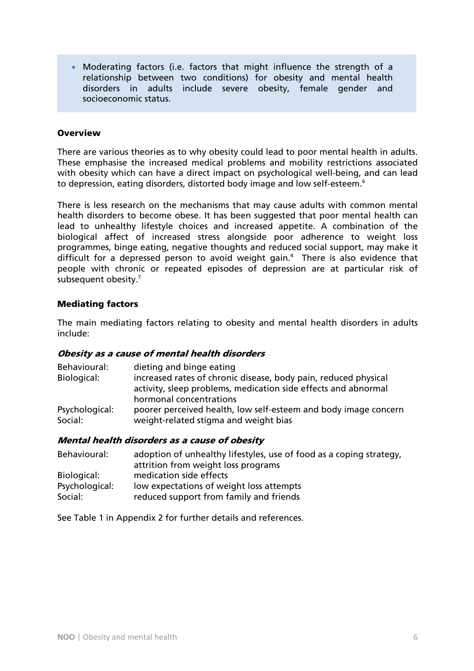• Moderating factors (i.e. factors that might influence the strength of a relationship between two conditions) for obesity and mental health disorders in adults include severe obesity, female gender and socioeconomic status.

#### **Overview**

There are various theories as to why obesity could lead to poor mental health in adults. These emphasise the increased medical problems and mobility restrictions associated with obesity which can have a direct impact on psychological well-being, and can lead to depression, eating disorders, distorted body image and low self-esteem.<sup>6</sup>

There is less research on the mechanisms that may cause adults with common mental health disorders to become obese. It has been suggested that poor mental health can lead to unhealthy lifestyle choices and increased appetite. A combination of the biological affect of increased stress alongside poor adherence to weight loss programmes, binge eating, negative thoughts and reduced social support, may make it difficult for a depressed person to avoid weight gain.<sup>4</sup> There is also evidence that people with chronic or repeated episodes of depression are at particular risk of subsequent obesity.<sup>7</sup>

#### Mediating factors

The main mediating factors relating to obesity and mental health disorders in adults include:

#### Obesity as a cause of mental health disorders

| Behavioural:              | dieting and binge eating                                                                                 |
|---------------------------|----------------------------------------------------------------------------------------------------------|
| Biological:               | increased rates of chronic disease, body pain, reduced physical                                          |
|                           | activity, sleep problems, medication side effects and abnormal                                           |
|                           | hormonal concentrations                                                                                  |
| Psychological:<br>Social: | poorer perceived health, low self-esteem and body image concern<br>weight-related stigma and weight bias |
|                           |                                                                                                          |

#### Mental health disorders as a cause of obesity

| Behavioural:   | adoption of unhealthy lifestyles, use of food as a coping strategy,<br>attrition from weight loss programs |
|----------------|------------------------------------------------------------------------------------------------------------|
| Biological:    | medication side effects                                                                                    |
| Psychological: | low expectations of weight loss attempts                                                                   |
| Social:        | reduced support from family and friends                                                                    |

See Table 1 in Appendix 2 for further details and references.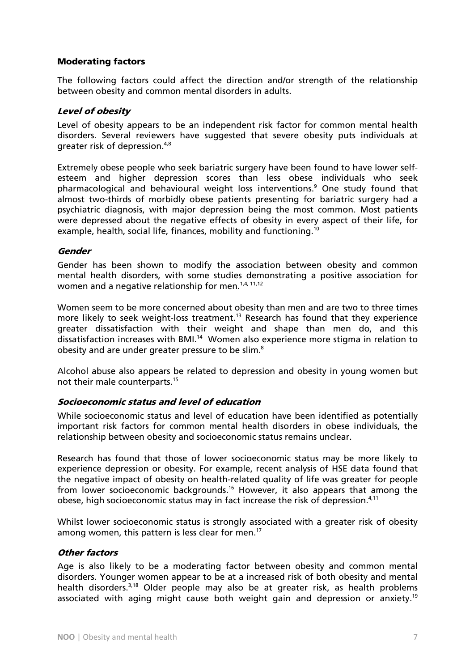#### Moderating factors

The following factors could affect the direction and/or strength of the relationship between obesity and common mental disorders in adults.

#### Level of obesity

Level of obesity appears to be an independent risk factor for common mental health disorders. Several reviewers have suggested that severe obesity puts individuals at greater risk of depression.4,8

Extremely obese people who seek bariatric surgery have been found to have lower selfesteem and higher depression scores than less obese individuals who seek pharmacological and behavioural weight loss interventions.<sup>9</sup> One study found that almost two-thirds of morbidly obese patients presenting for bariatric surgery had a psychiatric diagnosis, with major depression being the most common. Most patients were depressed about the negative effects of obesity in every aspect of their life, for example, health, social life, finances, mobility and functioning.<sup>10</sup>

#### Gender

Gender has been shown to modify the association between obesity and common mental health disorders, with some studies demonstrating a positive association for women and a negative relationship for men.<sup>1,4, 11,12</sup>

Women seem to be more concerned about obesity than men and are two to three times more likely to seek weight-loss treatment.<sup>13</sup> Research has found that they experience greater dissatisfaction with their weight and shape than men do, and this dissatisfaction increases with BMI.14 Women also experience more stigma in relation to obesity and are under greater pressure to be slim.<sup>8</sup>

Alcohol abuse also appears be related to depression and obesity in young women but not their male counterparts.<sup>15</sup>

#### Socioeconomic status and level of education

While socioeconomic status and level of education have been identified as potentially important risk factors for common mental health disorders in obese individuals, the relationship between obesity and socioeconomic status remains unclear.

Research has found that those of lower socioeconomic status may be more likely to experience depression or obesity. For example, recent analysis of HSE data found that the negative impact of obesity on health-related quality of life was greater for people from lower socioeconomic backgrounds.16 However, it also appears that among the obese, high socioeconomic status may in fact increase the risk of depression. $4,11$ 

Whilst lower socioeconomic status is strongly associated with a greater risk of obesity among women, this pattern is less clear for men.<sup>17</sup>

#### Other factors

Age is also likely to be a moderating factor between obesity and common mental disorders. Younger women appear to be at a increased risk of both obesity and mental health disorders.<sup>3,18</sup> Older people may also be at greater risk, as health problems associated with aging might cause both weight gain and depression or anxiety.<sup>19</sup>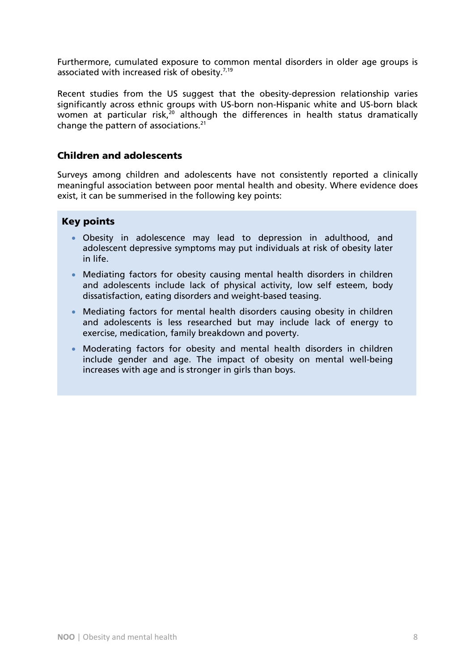Furthermore, cumulated exposure to common mental disorders in older age groups is associated with increased risk of obesity. $7,19$ 

Recent studies from the US suggest that the obesity-depression relationship varies significantly across ethnic groups with US-born non-Hispanic white and US-born black women at particular risk,<sup>20</sup> although the differences in health status dramatically change the pattern of associations. $21$ 

#### Children and adolescents

Surveys among children and adolescents have not consistently reported a clinically meaningful association between poor mental health and obesity. Where evidence does exist, it can be summerised in the following key points:

#### Key points

- Obesity in adolescence may lead to depression in adulthood, and adolescent depressive symptoms may put individuals at risk of obesity later in life.
- Mediating factors for obesity causing mental health disorders in children and adolescents include lack of physical activity, low self esteem, body dissatisfaction, eating disorders and weight-based teasing.
- Mediating factors for mental health disorders causing obesity in children and adolescents is less researched but may include lack of energy to exercise, medication, family breakdown and poverty.
- Moderating factors for obesity and mental health disorders in children include gender and age. The impact of obesity on mental well-being increases with age and is stronger in girls than boys.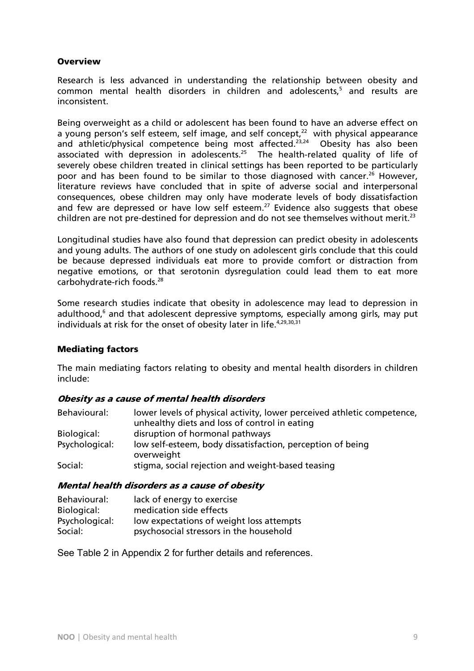#### **Overview**

Research is less advanced in understanding the relationship between obesity and common mental health disorders in children and adolescents,<sup>5</sup> and results are inconsistent.

Being overweight as a child or adolescent has been found to have an adverse effect on a young person's self esteem, self image, and self concept,<sup>22</sup> with physical appearance and athletic/physical competence being most affected.<sup>23,24</sup> Obesity has also been associated with depression in adolescents.<sup>25</sup> The health-related quality of life of severely obese children treated in clinical settings has been reported to be particularly poor and has been found to be similar to those diagnosed with cancer.<sup>26</sup> However, literature reviews have concluded that in spite of adverse social and interpersonal consequences, obese children may only have moderate levels of body dissatisfaction and few are depressed or have low self esteem.<sup>27</sup> Evidence also suggests that obese children are not pre-destined for depression and do not see themselves without merit.<sup>23</sup>

Longitudinal studies have also found that depression can predict obesity in adolescents and young adults. The authors of one study on adolescent girls conclude that this could be because depressed individuals eat more to provide comfort or distraction from negative emotions, or that serotonin dysregulation could lead them to eat more carbohydrate-rich foods.<sup>28</sup>

Some research studies indicate that obesity in adolescence may lead to depression in adulthood,<sup>6</sup> and that adolescent depressive symptoms, especially among girls, may put individuals at risk for the onset of obesity later in life.<sup>4,29,30,31</sup>

#### Mediating factors

The main mediating factors relating to obesity and mental health disorders in children include:

#### Obesity as a cause of mental health disorders

| Behavioural:   | lower levels of physical activity, lower perceived athletic competence,<br>unhealthy diets and loss of control in eating |
|----------------|--------------------------------------------------------------------------------------------------------------------------|
| Biological:    | disruption of hormonal pathways                                                                                          |
| Psychological: | low self-esteem, body dissatisfaction, perception of being<br>overweight                                                 |
| Social:        | stigma, social rejection and weight-based teasing                                                                        |

#### Mental health disorders as a cause of obesity

| Behavioural:   | lack of energy to exercise               |
|----------------|------------------------------------------|
| Biological:    | medication side effects                  |
| Psychological: | low expectations of weight loss attempts |
| Social:        | psychosocial stressors in the household  |

See Table 2 in Appendix 2 for further details and references.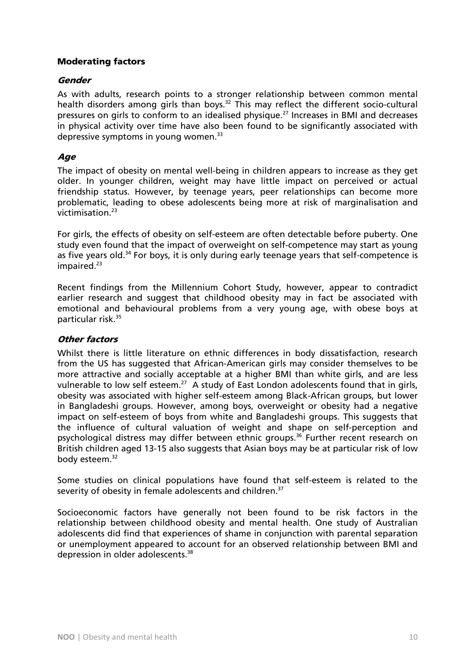#### Moderating factors

#### **Gender**

As with adults, research points to a stronger relationship between common mental health disorders among girls than boys.<sup>32</sup> This may reflect the different socio-cultural pressures on girls to conform to an idealised physique.<sup>27</sup> Increases in BMI and decreases in physical activity over time have also been found to be significantly associated with depressive symptoms in young women. $33$ 

#### **Age**

The impact of obesity on mental well-being in children appears to increase as they get older. In younger children, weight may have little impact on perceived or actual friendship status. However, by teenage years, peer relationships can become more problematic, leading to obese adolescents being more at risk of marginalisation and victimisation.23

For girls, the effects of obesity on self-esteem are often detectable before puberty. One study even found that the impact of overweight on self-competence may start as young as five years old.<sup>34</sup> For boys, it is only during early teenage years that self-competence is  $impaired.<sup>23</sup>$ 

Recent findings from the Millennium Cohort Study, however, appear to contradict earlier research and suggest that childhood obesity may in fact be associated with emotional and behavioural problems from a very young age, with obese boys at particular risk.35

#### Other factors

Whilst there is little literature on ethnic differences in body dissatisfaction, research from the US has suggested that African-American girls may consider themselves to be more attractive and socially acceptable at a higher BMI than white girls, and are less vulnerable to low self esteem.<sup>27</sup> A study of East London adolescents found that in girls, obesity was associated with higher self-esteem among Black-African groups, but lower in Bangladeshi groups. However, among boys, overweight or obesity had a negative impact on self-esteem of boys from white and Bangladeshi groups. This suggests that the influence of cultural valuation of weight and shape on self-perception and psychological distress may differ between ethnic groups.<sup>36</sup> Further recent research on British children aged 13-15 also suggests that Asian boys may be at particular risk of low body esteem.<sup>32</sup>

Some studies on clinical populations have found that self-esteem is related to the severity of obesity in female adolescents and children.<sup>37</sup>

Socioeconomic factors have generally not been found to be risk factors in the relationship between childhood obesity and mental health. One study of Australian adolescents did find that experiences of shame in conjunction with parental separation or unemployment appeared to account for an observed relationship between BMI and depression in older adolescents.<sup>38</sup>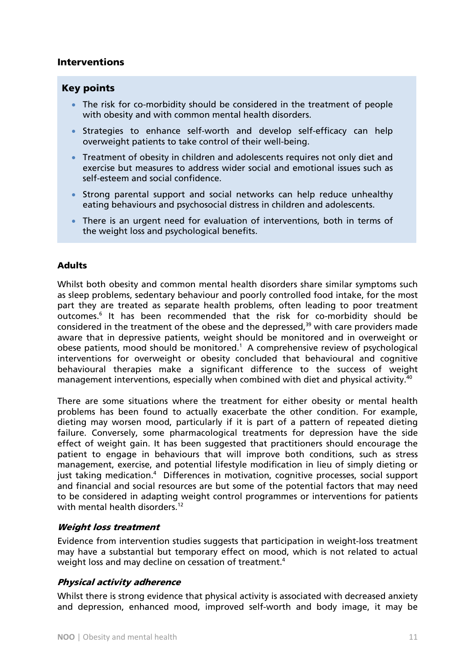#### Interventions

#### Key points

- The risk for co-morbidity should be considered in the treatment of people with obesity and with common mental health disorders.
- Strategies to enhance self-worth and develop self-efficacy can help overweight patients to take control of their well-being.
- Treatment of obesity in children and adolescents requires not only diet and exercise but measures to address wider social and emotional issues such as self-esteem and social confidence.
- Strong parental support and social networks can help reduce unhealthy eating behaviours and psychosocial distress in children and adolescents.
- There is an urgent need for evaluation of interventions, both in terms of the weight loss and psychological benefits.

#### Adults

Whilst both obesity and common mental health disorders share similar symptoms such as sleep problems, sedentary behaviour and poorly controlled food intake, for the most part they are treated as separate health problems, often leading to poor treatment outcomes.<sup>6</sup> It has been recommended that the risk for co-morbidity should be considered in the treatment of the obese and the depressed,<sup>39</sup> with care providers made aware that in depressive patients, weight should be monitored and in overweight or obese patients, mood should be monitored.<sup>1</sup> A comprehensive review of psychological interventions for overweight or obesity concluded that behavioural and cognitive behavioural therapies make a significant difference to the success of weight management interventions, especially when combined with diet and physical activity.40

There are some situations where the treatment for either obesity or mental health problems has been found to actually exacerbate the other condition. For example, dieting may worsen mood, particularly if it is part of a pattern of repeated dieting failure. Conversely, some pharmacological treatments for depression have the side effect of weight gain. It has been suggested that practitioners should encourage the patient to engage in behaviours that will improve both conditions, such as stress management, exercise, and potential lifestyle modification in lieu of simply dieting or just taking medication.<sup>4</sup> Differences in motivation, cognitive processes, social support and financial and social resources are but some of the potential factors that may need to be considered in adapting weight control programmes or interventions for patients with mental health disorders.<sup>12</sup>

#### Weight loss treatment

Evidence from intervention studies suggests that participation in weight-loss treatment may have a substantial but temporary effect on mood, which is not related to actual weight loss and may decline on cessation of treatment.<sup>4</sup>

#### Physical activity adherence

Whilst there is strong evidence that physical activity is associated with decreased anxiety and depression, enhanced mood, improved self-worth and body image, it may be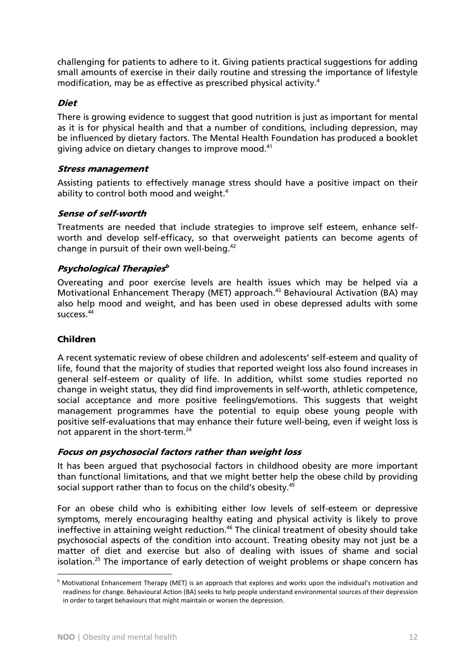challenging for patients to adhere to it. Giving patients practical suggestions for adding small amounts of exercise in their daily routine and stressing the importance of lifestyle modification, may be as effective as prescribed physical activity.<sup>4</sup>

#### Diet

There is growing evidence to suggest that good nutrition is just as important for mental as it is for physical health and that a number of conditions, including depression, may be influenced by dietary factors. The Mental Health Foundation has produced a booklet giving advice on dietary changes to improve mood.<sup>41</sup>

#### Stress management

Assisting patients to effectively manage stress should have a positive impact on their ability to control both mood and weight.<sup>4</sup>

#### Sense of self-worth

Treatments are needed that include strategies to improve self esteem, enhance selfworth and develop self-efficacy, so that overweight patients can become agents of change in pursuit of their own well-being.42

#### Psychological Therapies $^b$

Overeating and poor exercise levels are health issues which may be helped via a Motivational Enhancement Therapy (MET) approach.<sup>43</sup> Behavioural Activation (BA) may also help mood and weight, and has been used in obese depressed adults with some success.44

#### Children

 $\overline{a}$ 

A recent systematic review of obese children and adolescents' self-esteem and quality of life, found that the majority of studies that reported weight loss also found increases in general self-esteem or quality of life. In addition, whilst some studies reported no change in weight status, they did find improvements in self-worth, athletic competence, social acceptance and more positive feelings/emotions. This suggests that weight management programmes have the potential to equip obese young people with positive self-evaluations that may enhance their future well-being, even if weight loss is not apparent in the short-term.<sup>24</sup>

#### Focus on psychosocial factors rather than weight loss

It has been argued that psychosocial factors in childhood obesity are more important than functional limitations, and that we might better help the obese child by providing social support rather than to focus on the child's obesity.<sup>45</sup>

For an obese child who is exhibiting either low levels of self-esteem or depressive symptoms, merely encouraging healthy eating and physical activity is likely to prove ineffective in attaining weight reduction.<sup>46</sup> The clinical treatment of obesity should take psychosocial aspects of the condition into account. Treating obesity may not just be a matter of diet and exercise but also of dealing with issues of shame and social isolation.<sup>25</sup> The importance of early detection of weight problems or shape concern has

**b** Motivational Enhancement Therapy (MET) is an approach that explores and works upon the individual's motivation and readiness for change. Behavioural Action (BA) seeks to help people understand environmental sources of their depression in order to target behaviours that might maintain or worsen the depression.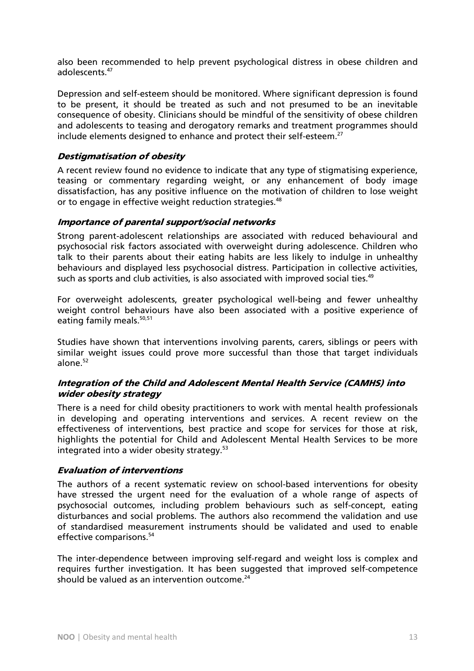also been recommended to help prevent psychological distress in obese children and adolescents<sup>47</sup>

Depression and self-esteem should be monitored. Where significant depression is found to be present, it should be treated as such and not presumed to be an inevitable consequence of obesity. Clinicians should be mindful of the sensitivity of obese children and adolescents to teasing and derogatory remarks and treatment programmes should include elements designed to enhance and protect their self-esteem.<sup>27</sup>

#### Destigmatisation of obesity

A recent review found no evidence to indicate that any type of stigmatising experience, teasing or commentary regarding weight, or any enhancement of body image dissatisfaction, has any positive influence on the motivation of children to lose weight or to engage in effective weight reduction strategies.<sup>48</sup>

#### Importance of parental support/social networks

Strong parent-adolescent relationships are associated with reduced behavioural and psychosocial risk factors associated with overweight during adolescence. Children who talk to their parents about their eating habits are less likely to indulge in unhealthy behaviours and displayed less psychosocial distress. Participation in collective activities, such as sports and club activities, is also associated with improved social ties. $49$ 

For overweight adolescents, greater psychological well-being and fewer unhealthy weight control behaviours have also been associated with a positive experience of eating family meals.<sup>50,51</sup>

Studies have shown that interventions involving parents, carers, siblings or peers with similar weight issues could prove more successful than those that target individuals alone.52

#### Integration of the Child and Adolescent Mental Health Service (CAMHS) into wider obesity strategy

There is a need for child obesity practitioners to work with mental health professionals in developing and operating interventions and services. A recent review on the effectiveness of interventions, best practice and scope for services for those at risk, highlights the potential for Child and Adolescent Mental Health Services to be more integrated into a wider obesity strategy.<sup>53</sup>

#### Evaluation of interventions

The authors of a recent systematic review on school-based interventions for obesity have stressed the urgent need for the evaluation of a whole range of aspects of psychosocial outcomes, including problem behaviours such as self-concept, eating disturbances and social problems. The authors also recommend the validation and use of standardised measurement instruments should be validated and used to enable effective comparisons.<sup>54</sup>

The inter-dependence between improving self-regard and weight loss is complex and requires further investigation. It has been suggested that improved self-competence should be valued as an intervention outcome. $24$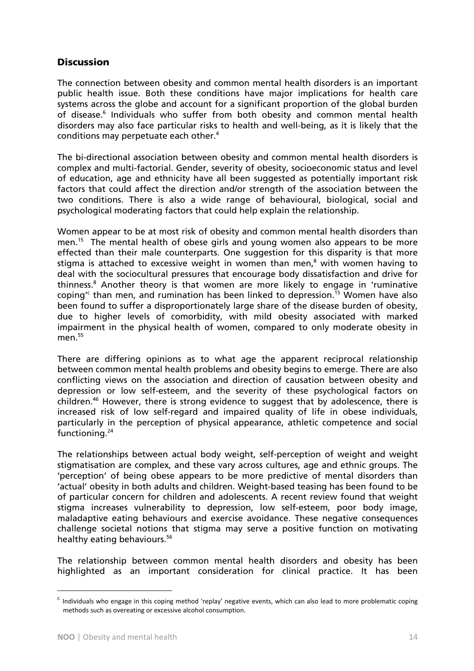#### **Discussion**

The connection between obesity and common mental health disorders is an important public health issue. Both these conditions have major implications for health care systems across the globe and account for a significant proportion of the global burden of disease.<sup>6</sup> Individuals who suffer from both obesity and common mental health disorders may also face particular risks to health and well-being, as it is likely that the conditions may perpetuate each other.<sup>4</sup>

The bi-directional association between obesity and common mental health disorders is complex and multi-factorial. Gender, severity of obesity, socioeconomic status and level of education, age and ethnicity have all been suggested as potentially important risk factors that could affect the direction and/or strength of the association between the two conditions. There is also a wide range of behavioural, biological, social and psychological moderating factors that could help explain the relationship.

Women appear to be at most risk of obesity and common mental health disorders than men.<sup>15</sup> The mental health of obese girls and young women also appears to be more effected than their male counterparts. One suggestion for this disparity is that more stigma is attached to excessive weight in women than men, $^8$  with women having to deal with the sociocultural pressures that encourage body dissatisfaction and drive for thinness.<sup>8</sup> Another theory is that women are more likely to engage in 'ruminative coping<sup>rc</sup> than men, and rumination has been linked to depression.<sup>15</sup> Women have also been found to suffer a disproportionately large share of the disease burden of obesity, due to higher levels of comorbidity, with mild obesity associated with marked impairment in the physical health of women, compared to only moderate obesity in men $55$ 

There are differing opinions as to what age the apparent reciprocal relationship between common mental health problems and obesity begins to emerge. There are also conflicting views on the association and direction of causation between obesity and depression or low self-esteem, and the severity of these psychological factors on children.<sup>46</sup> However, there is strong evidence to suggest that by adolescence, there is increased risk of low self-regard and impaired quality of life in obese individuals, particularly in the perception of physical appearance, athletic competence and social functioning.<sup>24</sup>

The relationships between actual body weight, self-perception of weight and weight stigmatisation are complex, and these vary across cultures, age and ethnic groups. The 'perception' of being obese appears to be more predictive of mental disorders than 'actual' obesity in both adults and children. Weight-based teasing has been found to be of particular concern for children and adolescents. A recent review found that weight stigma increases vulnerability to depression, low self-esteem, poor body image, maladaptive eating behaviours and exercise avoidance. These negative consequences challenge societal notions that stigma may serve a positive function on motivating healthy eating behaviours.<sup>56</sup>

The relationship between common mental health disorders and obesity has been highlighted as an important consideration for clinical practice. It has been

<sup>&</sup>lt;sup>c</sup> Individuals who engage in this coping method 'replay' negative events, which can also lead to more problematic coping methods such as overeating or excessive alcohol consumption.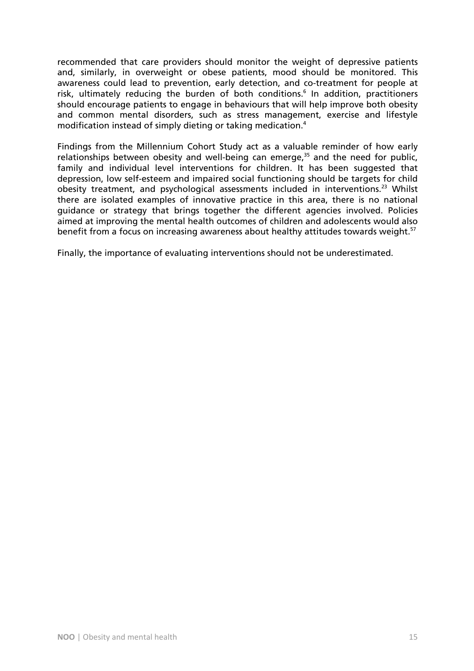recommended that care providers should monitor the weight of depressive patients and, similarly, in overweight or obese patients, mood should be monitored. This awareness could lead to prevention, early detection, and co-treatment for people at risk, ultimately reducing the burden of both conditions.<sup>6</sup> In addition, practitioners should encourage patients to engage in behaviours that will help improve both obesity and common mental disorders, such as stress management, exercise and lifestyle modification instead of simply dieting or taking medication.<sup>4</sup>

Findings from the Millennium Cohort Study act as a valuable reminder of how early relationships between obesity and well-being can emerge, $35$  and the need for public, family and individual level interventions for children. It has been suggested that depression, low self-esteem and impaired social functioning should be targets for child obesity treatment, and psychological assessments included in interventions.<sup>23</sup> Whilst there are isolated examples of innovative practice in this area, there is no national guidance or strategy that brings together the different agencies involved. Policies aimed at improving the mental health outcomes of children and adolescents would also benefit from a focus on increasing awareness about healthy attitudes towards weight.<sup>57</sup>

Finally, the importance of evaluating interventions should not be underestimated.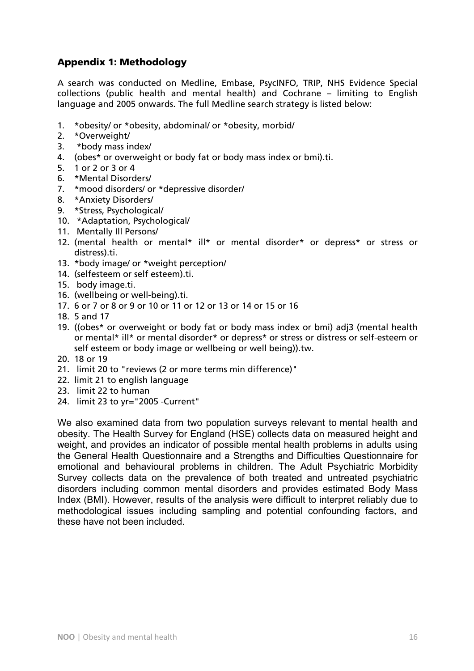## Appendix 1: Methodology

A search was conducted on Medline, Embase, PsycINFO, TRIP, NHS Evidence Special collections (public health and mental health) and Cochrane – limiting to English language and 2005 onwards. The full Medline search strategy is listed below:

- 1. \*obesity/ or \*obesity, abdominal/ or \*obesity, morbid/
- 2. \*Overweight/
- 3. \*body mass index/
- 4. (obes\* or overweight or body fat or body mass index or bmi).ti.
- 5. 1 or 2 or 3 or 4
- 6. \*Mental Disorders/
- 7. \*mood disorders/ or \*depressive disorder/
- 8. \*Anxiety Disorders/
- 9. \*Stress, Psychological/
- 10. \*Adaptation, Psychological/
- 11. Mentally Ill Persons/
- 12. (mental health or mental\* ill\* or mental disorder\* or depress\* or stress or distress).ti.
- 13. \*body image/ or \*weight perception/
- 14. (selfesteem or self esteem).ti.
- 15. body image.ti.
- 16. (wellbeing or well-being).ti.
- 17. 6 or 7 or 8 or 9 or 10 or 11 or 12 or 13 or 14 or 15 or 16
- 18. 5 and 17
- 19. ((obes\* or overweight or body fat or body mass index or bmi) adj3 (mental health or mental\* ill\* or mental disorder\* or depress\* or stress or distress or self-esteem or self esteem or body image or wellbeing or well being)).tw.
- 20. 18 or 19
- 21. limit 20 to "reviews (2 or more terms min difference)"
- 22. limit 21 to english language
- 23. limit 22 to human
- 24. limit 23 to yr="2005 -Current"

We also examined data from two population surveys relevant to mental health and obesity. The Health Survey for England (HSE) collects data on measured height and weight, and provides an indicator of possible mental health problems in adults using the General Health Questionnaire and a Strengths and Difficulties Questionnaire for emotional and behavioural problems in children. The Adult Psychiatric Morbidity Survey collects data on the prevalence of both treated and untreated psychiatric disorders including common mental disorders and provides estimated Body Mass Index (BMI). However, results of the analysis were difficult to interpret reliably due to methodological issues including sampling and potential confounding factors, and these have not been included.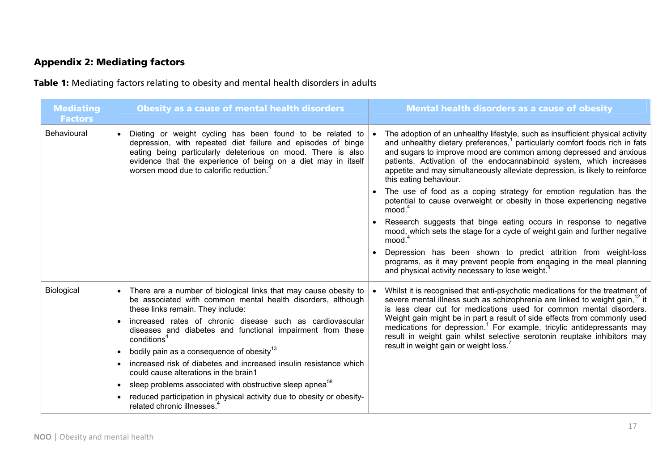# Appendix 2: Mediating factors

Table 1: Mediating factors relating to obesity and mental health disorders in adults

| <b>Mediating</b><br><b>Factors</b> | <b>Obesity as a cause of mental health disorders</b>                                                                                                                                                                                                                                                               | <b>Mental health disorders as a cause of obesity</b>                                                                                                                                                                                                                                                                                                                                                                            |
|------------------------------------|--------------------------------------------------------------------------------------------------------------------------------------------------------------------------------------------------------------------------------------------------------------------------------------------------------------------|---------------------------------------------------------------------------------------------------------------------------------------------------------------------------------------------------------------------------------------------------------------------------------------------------------------------------------------------------------------------------------------------------------------------------------|
| Behavioural                        | Dieting or weight cycling has been found to be related to<br>$\bullet$<br>depression, with repeated diet failure and episodes of binge<br>eating being particularly deleterious on mood. There is also<br>evidence that the experience of being on a diet may in itself<br>worsen mood due to calorific reduction. | The adoption of an unhealthy lifestyle, such as insufficient physical activity<br>and unhealthy dietary preferences, <sup>1</sup> particularly comfort foods rich in fats<br>and sugars to improve mood are common among depressed and anxious<br>patients. Activation of the endocannabinoid system, which increases<br>appetite and may simultaneously alleviate depression, is likely to reinforce<br>this eating behaviour. |
|                                    |                                                                                                                                                                                                                                                                                                                    | The use of food as a coping strategy for emotion regulation has the<br>potential to cause overweight or obesity in those experiencing negative<br>mood. <sup>4</sup>                                                                                                                                                                                                                                                            |
|                                    |                                                                                                                                                                                                                                                                                                                    | Research suggests that binge eating occurs in response to negative<br>mood, which sets the stage for a cycle of weight gain and further negative<br>$m$ ood. $4$                                                                                                                                                                                                                                                                |
|                                    |                                                                                                                                                                                                                                                                                                                    | Depression has been shown to predict attrition from weight-loss<br>programs, as it may prevent people from engaging in the meal planning<br>and physical activity necessary to lose weight.                                                                                                                                                                                                                                     |
| Biological                         | There are a number of biological links that may cause obesity to<br>be associated with common mental health disorders, although<br>these links remain. They include:                                                                                                                                               | Whilst it is recognised that anti-psychotic medications for the treatment of<br>severe mental illness such as schizophrenia are linked to weight gain, <sup>12</sup> it<br>is less clear cut for medications used for common mental disorders.                                                                                                                                                                                  |
|                                    | increased rates of chronic disease such as cardiovascular<br>diseases and diabetes and functional impairment from these<br>conditions <sup>4</sup>                                                                                                                                                                 | Weight gain might be in part a result of side effects from commonly used<br>medications for depression. <sup>1</sup> For example, tricylic antidepressants may<br>result in weight gain whilst selective serotonin reuptake inhibitors may                                                                                                                                                                                      |
|                                    | bodily pain as a consequence of obesity <sup>13</sup><br>$\bullet$                                                                                                                                                                                                                                                 | result in weight gain or weight loss.                                                                                                                                                                                                                                                                                                                                                                                           |
|                                    | increased risk of diabetes and increased insulin resistance which<br>could cause alterations in the brain1                                                                                                                                                                                                         |                                                                                                                                                                                                                                                                                                                                                                                                                                 |
|                                    | sleep problems associated with obstructive sleep apnea <sup>58</sup><br>$\bullet$                                                                                                                                                                                                                                  |                                                                                                                                                                                                                                                                                                                                                                                                                                 |
|                                    | • reduced participation in physical activity due to obesity or obesity-<br>related chronic illnesses.                                                                                                                                                                                                              |                                                                                                                                                                                                                                                                                                                                                                                                                                 |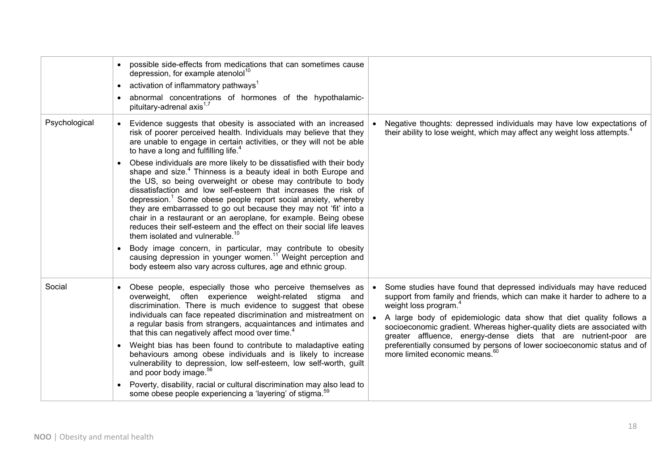|               | possible side-effects from medications that can sometimes cause<br>depression, for example atenolol <sup>10</sup><br>activation of inflammatory pathways <sup>1</sup><br>$\bullet$<br>abnormal concentrations of hormones of the hypothalamic-<br>pituitary-adrenal axis <sup>1,7</sup>                                                                                                                                                                                                                                                                                                                                                                                                                                                                                                                                                                                                                                                                                                                                                                                                                        |                                                                                                                                                                                                                                                                                                                                                                                                                                                                                                                                      |
|---------------|----------------------------------------------------------------------------------------------------------------------------------------------------------------------------------------------------------------------------------------------------------------------------------------------------------------------------------------------------------------------------------------------------------------------------------------------------------------------------------------------------------------------------------------------------------------------------------------------------------------------------------------------------------------------------------------------------------------------------------------------------------------------------------------------------------------------------------------------------------------------------------------------------------------------------------------------------------------------------------------------------------------------------------------------------------------------------------------------------------------|--------------------------------------------------------------------------------------------------------------------------------------------------------------------------------------------------------------------------------------------------------------------------------------------------------------------------------------------------------------------------------------------------------------------------------------------------------------------------------------------------------------------------------------|
| Psychological | Evidence suggests that obesity is associated with an increased<br>risk of poorer perceived health. Individuals may believe that they<br>are unable to engage in certain activities, or they will not be able<br>to have a long and fulfilling life. <sup>4</sup><br>Obese individuals are more likely to be dissatisfied with their body<br>shape and size. <sup>4</sup> Thinness is a beauty ideal in both Europe and<br>the US, so being overweight or obese may contribute to body<br>dissatisfaction and low self-esteem that increases the risk of<br>depression. <sup>1</sup> Some obese people report social anxiety, whereby<br>they are embarrassed to go out because they may not 'fit' into a<br>chair in a restaurant or an aeroplane, for example. Being obese<br>reduces their self-esteem and the effect on their social life leaves<br>them isolated and vulnerable. <sup>10</sup><br>Body image concern, in particular, may contribute to obesity<br>causing depression in younger women. <sup>11</sup> Weight perception and<br>body esteem also vary across cultures, age and ethnic group. | Negative thoughts: depressed individuals may have low expectations of<br>their ability to lose weight, which may affect any weight loss attempts. <sup>4</sup>                                                                                                                                                                                                                                                                                                                                                                       |
| Social        | Obese people, especially those who perceive themselves as<br>overweight, often experience weight-related stigma and<br>discrimination. There is much evidence to suggest that obese<br>individuals can face repeated discrimination and mistreatment on<br>a regular basis from strangers, acquaintances and intimates and<br>that this can negatively affect mood over time. <sup>4</sup><br>Weight bias has been found to contribute to maladaptive eating<br>behaviours among obese individuals and is likely to increase<br>vulnerability to depression, low self-esteem, low self-worth, guilt<br>and poor body image. <sup>56</sup><br>Poverty, disability, racial or cultural discrimination may also lead to<br>some obese people experiencing a 'layering' of stigma. <sup>59</sup>                                                                                                                                                                                                                                                                                                                   | Some studies have found that depressed individuals may have reduced<br>support from family and friends, which can make it harder to adhere to a<br>weight loss program. <sup>4</sup><br>A large body of epidemiologic data show that diet quality follows a<br>socioeconomic gradient. Whereas higher-quality diets are associated with<br>greater affluence, energy-dense diets that are nutrient-poor are<br>preferentially consumed by persons of lower socioeconomic status and of<br>more limited economic means. <sup>60</sup> |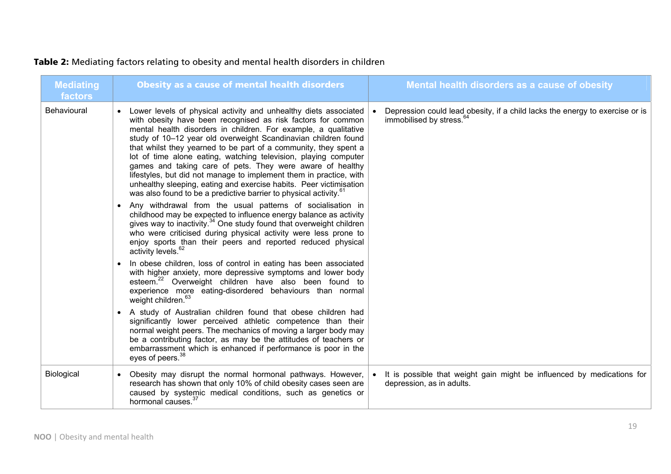# Table 2: Mediating factors relating to obesity and mental health disorders in children

| <b>Mediating</b><br>factors | <b>Obesity as a cause of mental health disorders</b>                                                                                                                                                                                                                                                                                                                                                                                                                                                                                                                                                                                                                                                     | Mental health disorders as a cause of obesity                                                                        |
|-----------------------------|----------------------------------------------------------------------------------------------------------------------------------------------------------------------------------------------------------------------------------------------------------------------------------------------------------------------------------------------------------------------------------------------------------------------------------------------------------------------------------------------------------------------------------------------------------------------------------------------------------------------------------------------------------------------------------------------------------|----------------------------------------------------------------------------------------------------------------------|
| <b>Behavioural</b>          | • Lower levels of physical activity and unhealthy diets associated<br>with obesity have been recognised as risk factors for common<br>mental health disorders in children. For example, a qualitative<br>study of 10-12 year old overweight Scandinavian children found<br>that whilst they yearned to be part of a community, they spent a<br>lot of time alone eating, watching television, playing computer<br>games and taking care of pets. They were aware of healthy<br>lifestyles, but did not manage to implement them in practice, with<br>unhealthy sleeping, eating and exercise habits. Peer victimisation<br>was also found to be a predictive barrier to physical activity. <sup>61</sup> | Depression could lead obesity, if a child lacks the energy to exercise or is<br>immobilised by stress. <sup>64</sup> |
|                             | • Any withdrawal from the usual patterns of socialisation in<br>childhood may be expected to influence energy balance as activity<br>gives way to inactivity. <sup>34</sup> One study found that overweight children<br>who were criticised during physical activity were less prone to<br>enjoy sports than their peers and reported reduced physical<br>activity levels. <sup>62</sup>                                                                                                                                                                                                                                                                                                                 |                                                                                                                      |
|                             | • In obese children, loss of control in eating has been associated<br>with higher anxiety, more depressive symptoms and lower body<br>esteem. <sup>22</sup> Overweight children have also been found to<br>experience more eating-disordered behaviours than normal<br>weight children. <sup>63</sup>                                                                                                                                                                                                                                                                                                                                                                                                    |                                                                                                                      |
|                             | • A study of Australian children found that obese children had<br>significantly lower perceived athletic competence than their<br>normal weight peers. The mechanics of moving a larger body may<br>be a contributing factor, as may be the attitudes of teachers or<br>embarrassment which is enhanced if performance is poor in the<br>eyes of peers. <sup>38</sup>                                                                                                                                                                                                                                                                                                                                    |                                                                                                                      |
| Biological                  | Obesity may disrupt the normal hormonal pathways. However,<br>research has shown that only 10% of child obesity cases seen are<br>caused by systemic medical conditions, such as genetics or<br>hormonal causes. <sup>37</sup>                                                                                                                                                                                                                                                                                                                                                                                                                                                                           | It is possible that weight gain might be influenced by medications for<br>depression, as in adults.                  |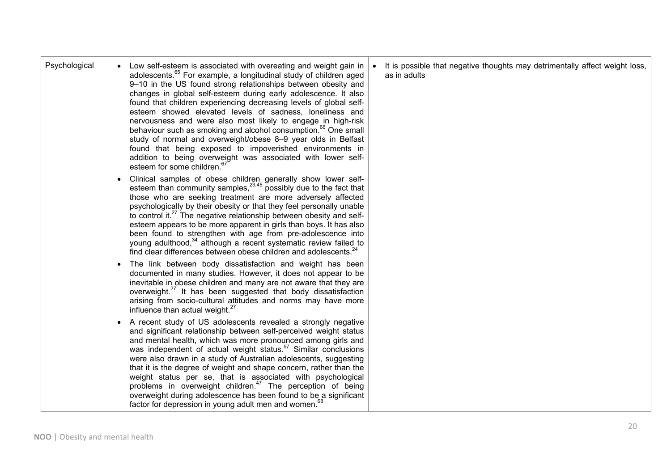| Psychological | Low self-esteem is associated with overeating and weight gain in<br>adolescents. <sup>65</sup> For example, a longitudinal study of children aged<br>9-10 in the US found strong relationships between obesity and<br>changes in global self-esteem during early adolescence. It also<br>found that children experiencing decreasing levels of global self-<br>esteem showed elevated levels of sadness, loneliness and<br>nervousness and were also most likely to engage in high-risk<br>behaviour such as smoking and alcohol consumption. <sup>66</sup> One small<br>study of normal and overweight/obese 8-9 year olds in Belfast<br>found that being exposed to impoverished environments in<br>addition to being overweight was associated with lower self-<br>esteem for some children. <sup>6</sup> | It is possible that negative thoughts may detrimentally affect weight loss,<br>as in adults |
|---------------|--------------------------------------------------------------------------------------------------------------------------------------------------------------------------------------------------------------------------------------------------------------------------------------------------------------------------------------------------------------------------------------------------------------------------------------------------------------------------------------------------------------------------------------------------------------------------------------------------------------------------------------------------------------------------------------------------------------------------------------------------------------------------------------------------------------|---------------------------------------------------------------------------------------------|
|               | Clinical samples of obese children generally show lower self-<br>esteem than community samples, <sup>23,45</sup> possibly due to the fact that<br>those who are seeking treatment are more adversely affected<br>psychologically by their obesity or that they feel personally unable<br>to control it. <sup>27</sup> The negative relationship between obesity and self-<br>esteem appears to be more apparent in girls than boys. It has also<br>been found to strengthen with age from pre-adolescence into<br>young adulthood, 34 although a recent systematic review failed to<br>find clear differences between obese children and adolescents. <sup>24</sup>                                                                                                                                          |                                                                                             |
|               | The link between body dissatisfaction and weight has been<br>documented in many studies. However, it does not appear to be<br>inevitable in obese children and many are not aware that they are<br>overweight. <sup>27</sup> It has been suggested that body dissatisfaction<br>arising from socio-cultural attitudes and norms may have more<br>influence than actual weight. <sup>27</sup>                                                                                                                                                                                                                                                                                                                                                                                                                 |                                                                                             |
|               | A recent study of US adolescents revealed a strongly negative<br>and significant relationship between self-perceived weight status<br>and mental health, which was more pronounced among girls and<br>was independent of actual weight status. <sup>57</sup> Similar conclusions<br>were also drawn in a study of Australian adolescents, suggesting<br>that it is the degree of weight and shape concern, rather than the<br>weight status per se, that is associated with psychological<br>problems in overweight children. <sup>47</sup> The perception of being<br>overweight during adolescence has been found to be a significant<br>factor for depression in young adult men and women. <sup>68</sup>                                                                                                 |                                                                                             |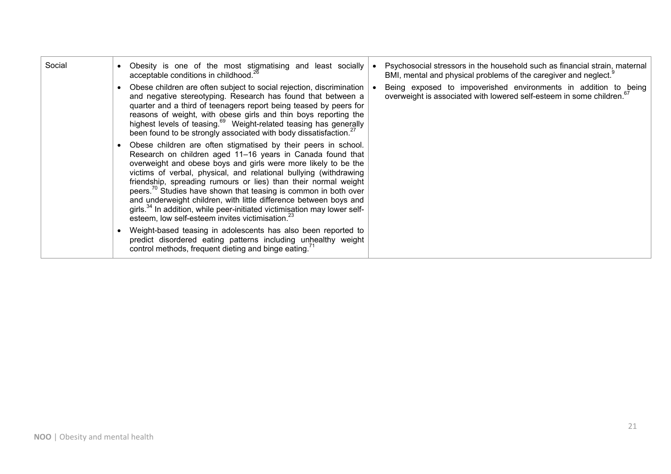| Social | Obesity is one of the most stigmatising and least socially<br>acceptable conditions in childhood. <sup>26</sup>                                                                                                                                                                                                                                                                                                                                                                                                                                                                                                                                    | Psychosocial stressors in the household such as financial strain, maternal<br>BMI, mental and physical problems of the caregiver and neglect. <sup>9</sup> |
|--------|----------------------------------------------------------------------------------------------------------------------------------------------------------------------------------------------------------------------------------------------------------------------------------------------------------------------------------------------------------------------------------------------------------------------------------------------------------------------------------------------------------------------------------------------------------------------------------------------------------------------------------------------------|------------------------------------------------------------------------------------------------------------------------------------------------------------|
|        | Obese children are often subject to social rejection, discrimination<br>and negative stereotyping. Research has found that between a<br>quarter and a third of teenagers report being teased by peers for<br>reasons of weight, with obese girls and thin boys reporting the<br>highest levels of teasing. <sup>69</sup> Weight-related teasing has generally<br>been found to be strongly associated with body dissatisfaction. <sup>27</sup>                                                                                                                                                                                                     | Being exposed to impoverished environments in addition to being<br>overweight is associated with lowered self-esteem in some children. <sup>67</sup>       |
|        | Obese children are often stigmatised by their peers in school.<br>Research on children aged 11-16 years in Canada found that<br>overweight and obese boys and girls were more likely to be the<br>victims of verbal, physical, and relational bullying (withdrawing<br>friendship, spreading rumours or lies) than their normal weight<br>peers. <sup>70</sup> Studies have shown that teasing is common in both over<br>and underweight children, with little difference between boys and<br>girls. <sup>34</sup> In addition, while peer-initiated victimisation may lower self-<br>esteem, low self-esteem invites victimisation. <sup>23</sup> |                                                                                                                                                            |
|        | Weight-based teasing in adolescents has also been reported to<br>predict disordered eating patterns including unhealthy weight<br>control methods, frequent dieting and binge eating. <sup>71</sup>                                                                                                                                                                                                                                                                                                                                                                                                                                                |                                                                                                                                                            |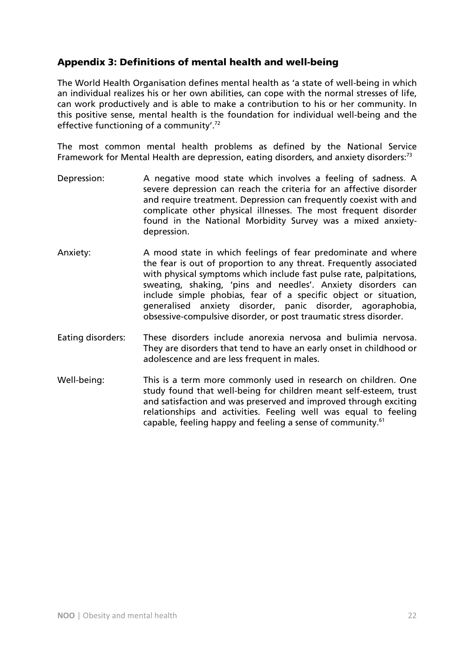## Appendix 3: Definitions of mental health and well-being

The World Health Organisation defines mental health as 'a state of well-being in which an individual realizes his or her own abilities, can cope with the normal stresses of life, can work productively and is able to make a contribution to his or her community. In this positive sense, mental health is the foundation for individual well-being and the effective functioning of a community'.72

The most common mental health problems as defined by the National Service Framework for Mental Health are depression, eating disorders, and anxiety disorders: $73$ 

- Depression: A negative mood state which involves a feeling of sadness. A severe depression can reach the criteria for an affective disorder and require treatment. Depression can frequently coexist with and complicate other physical illnesses. The most frequent disorder found in the National Morbidity Survey was a mixed anxietydepression.
- Anxiety: A mood state in which feelings of fear predominate and where the fear is out of proportion to any threat. Frequently associated with physical symptoms which include fast pulse rate, palpitations, sweating, shaking, 'pins and needles'. Anxiety disorders can include simple phobias, fear of a specific object or situation, generalised anxiety disorder, panic disorder, agoraphobia, obsessive-compulsive disorder, or post traumatic stress disorder.
- Eating disorders: These disorders include anorexia nervosa and bulimia nervosa. They are disorders that tend to have an early onset in childhood or adolescence and are less frequent in males.
- Well-being: This is a term more commonly used in research on children. One study found that well-being for children meant self-esteem, trust and satisfaction and was preserved and improved through exciting relationships and activities. Feeling well was equal to feeling capable, feeling happy and feeling a sense of community.<sup>61</sup>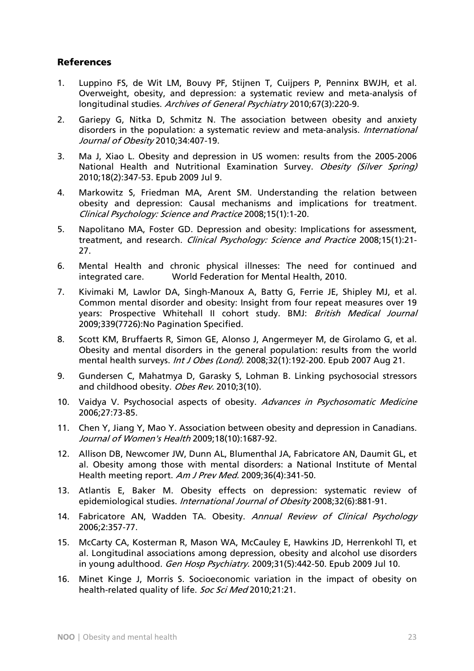#### References

- 1. Luppino FS, de Wit LM, Bouvy PF, Stijnen T, Cuijpers P, Penninx BWJH, et al. Overweight, obesity, and depression: a systematic review and meta-analysis of longitudinal studies. Archives of General Psychiatry 2010;67(3):220-9.
- 2. Gariepy G, Nitka D, Schmitz N. The association between obesity and anxiety disorders in the population: a systematic review and meta-analysis. *International* Journal of Obesity 2010;34:407-19.
- 3. Ma J, Xiao L. Obesity and depression in US women: results from the 2005-2006 National Health and Nutritional Examination Survey. Obesity (Silver Spring) 2010;18(2):347-53. Epub 2009 Jul 9.
- 4. Markowitz S, Friedman MA, Arent SM. Understanding the relation between obesity and depression: Causal mechanisms and implications for treatment. Clinical Psychology: Science and Practice 2008;15(1):1-20.
- 5. Napolitano MA, Foster GD. Depression and obesity: Implications for assessment, treatment, and research. Clinical Psychology: Science and Practice 2008;15(1):21-27.
- 6. Mental Health and chronic physical illnesses: The need for continued and integrated care. World Federation for Mental Health, 2010.
- 7. Kivimaki M, Lawlor DA, Singh-Manoux A, Batty G, Ferrie JE, Shipley MJ, et al. Common mental disorder and obesity: Insight from four repeat measures over 19 years: Prospective Whitehall II cohort study. BMJ: British Medical Journal 2009;339(7726):No Pagination Specified.
- 8. Scott KM, Bruffaerts R, Simon GE, Alonso J, Angermeyer M, de Girolamo G, et al. Obesity and mental disorders in the general population: results from the world mental health surveys. Int J Obes (Lond). 2008;32(1):192-200. Epub 2007 Aug 21.
- 9. Gundersen C, Mahatmya D, Garasky S, Lohman B. Linking psychosocial stressors and childhood obesity. Obes Rev. 2010;3(10).
- 10. Vaidya V. Psychosocial aspects of obesity. Advances in Psychosomatic Medicine 2006;27:73-85.
- 11. Chen Y, Jiang Y, Mao Y. Association between obesity and depression in Canadians. Journal of Women's Health 2009;18(10):1687-92.
- 12. Allison DB, Newcomer JW, Dunn AL, Blumenthal JA, Fabricatore AN, Daumit GL, et al. Obesity among those with mental disorders: a National Institute of Mental Health meeting report. Am J Prev Med. 2009;36(4):341-50.
- 13. Atlantis E, Baker M. Obesity effects on depression: systematic review of epidemiological studies. *International Journal of Obesity* 2008;32(6):881-91.
- 14. Fabricatore AN, Wadden TA. Obesity. Annual Review of Clinical Psychology 2006;2:357-77.
- 15. McCarty CA, Kosterman R, Mason WA, McCauley E, Hawkins JD, Herrenkohl TI, et al. Longitudinal associations among depression, obesity and alcohol use disorders in young adulthood. Gen Hosp Psychiatry. 2009;31(5):442-50. Epub 2009 Jul 10.
- 16. Minet Kinge J, Morris S. Socioeconomic variation in the impact of obesity on health-related quality of life. Soc Sci Med 2010:21:21.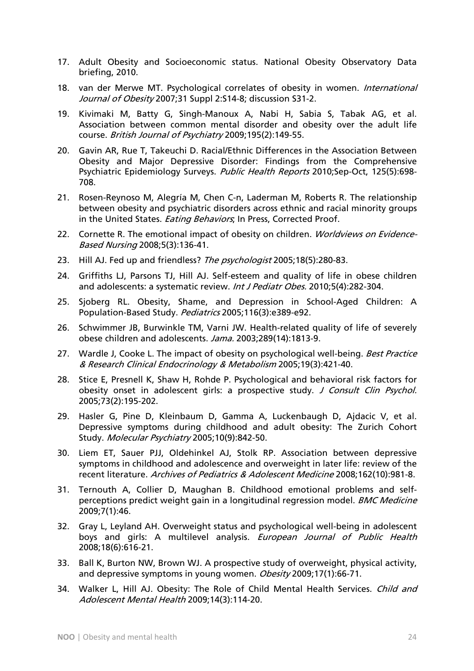- 17. Adult Obesity and Socioeconomic status. National Obesity Observatory Data briefing, 2010.
- 18. van der Merwe MT. Psychological correlates of obesity in women. International Journal of Obesity 2007;31 Suppl 2:S14-8; discussion S31-2.
- 19. Kivimaki M, Batty G, Singh-Manoux A, Nabi H, Sabia S, Tabak AG, et al. Association between common mental disorder and obesity over the adult life course. British Journal of Psychiatry 2009;195(2):149-55.
- 20. Gavin AR, Rue T, Takeuchi D. Racial/Ethnic Differences in the Association Between Obesity and Major Depressive Disorder: Findings from the Comprehensive Psychiatric Epidemiology Surveys. Public Health Reports 2010;Sep-Oct, 125(5):698-708.
- 21. Rosen-Reynoso M, Alegría M, Chen C-n, Laderman M, Roberts R. The relationship between obesity and psychiatric disorders across ethnic and racial minority groups in the United States. *Eating Behaviors*; In Press, Corrected Proof.
- 22. Cornette R. The emotional impact of obesity on children. *Worldviews on Evidence-*Based Nursing 2008;5(3):136-41.
- 23. Hill AJ. Fed up and friendless? The psychologist 2005;18(5):280-83.
- 24. Griffiths LJ, Parsons TJ, Hill AJ. Self-esteem and quality of life in obese children and adolescents: a systematic review. Int J Pediatr Obes. 2010;5(4):282-304.
- 25. Sjoberg RL. Obesity, Shame, and Depression in School-Aged Children: A Population-Based Study. Pediatrics 2005;116(3):e389-e92.
- 26. Schwimmer JB, Burwinkle TM, Varni JW. Health-related quality of life of severely obese children and adolescents. Jama. 2003;289(14):1813-9.
- 27. Wardle J, Cooke L, The impact of obesity on psychological well-being. Best Practice & Research Clinical Endocrinology & Metabolism 2005;19(3):421-40.
- 28. Stice E, Presnell K, Shaw H, Rohde P. Psychological and behavioral risk factors for obesity onset in adolescent girls: a prospective study. J Consult Clin Psychol. 2005;73(2):195-202.
- 29. Hasler G, Pine D, Kleinbaum D, Gamma A, Luckenbaugh D, Ajdacic V, et al. Depressive symptoms during childhood and adult obesity: The Zurich Cohort Study. Molecular Psychiatry 2005;10(9):842-50.
- 30. Liem ET, Sauer PJJ, Oldehinkel AJ, Stolk RP. Association between depressive symptoms in childhood and adolescence and overweight in later life: review of the recent literature. Archives of Pediatrics & Adolescent Medicine 2008;162(10):981-8.
- 31. Ternouth A, Collier D, Maughan B. Childhood emotional problems and selfperceptions predict weight gain in a longitudinal regression model. *BMC Medicine* 2009;7(1):46.
- 32. Gray L, Leyland AH. Overweight status and psychological well-being in adolescent boys and girls: A multilevel analysis. European Journal of Public Health 2008;18(6):616-21.
- 33. Ball K, Burton NW, Brown WJ. A prospective study of overweight, physical activity, and depressive symptoms in young women. Obesity 2009;17(1):66-71.
- 34. Walker L, Hill AJ. Obesity: The Role of Child Mental Health Services. Child and Adolescent Mental Health 2009;14(3):114-20.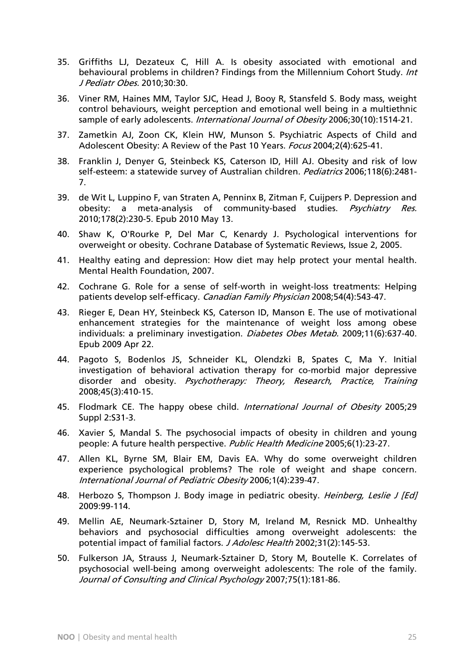- 35. Griffiths LJ, Dezateux C, Hill A. Is obesity associated with emotional and behavioural problems in children? Findings from the Millennium Cohort Study. Int J Pediatr Obes. 2010;30:30.
- 36. Viner RM, Haines MM, Taylor SJC, Head J, Booy R, Stansfeld S. Body mass, weight control behaviours, weight perception and emotional well being in a multiethnic sample of early adolescents. *International Journal of Obesity* 2006;30(10):1514-21.
- 37. Zametkin AJ, Zoon CK, Klein HW, Munson S. Psychiatric Aspects of Child and Adolescent Obesity: A Review of the Past 10 Years. Focus 2004;2(4):625-41.
- 38. Franklin J, Denyer G, Steinbeck KS, Caterson ID, Hill AJ. Obesity and risk of low self-esteem: a statewide survey of Australian children. Pediatrics 2006;118(6):2481-7.
- 39. de Wit L, Luppino F, van Straten A, Penninx B, Zitman F, Cuijpers P. Depression and obesity: a meta-analysis of community-based studies. Psychiatry Res. 2010;178(2):230-5. Epub 2010 May 13.
- 40. Shaw K, O'Rourke P, Del Mar C, Kenardy J. Psychological interventions for overweight or obesity. Cochrane Database of Systematic Reviews, Issue 2, 2005.
- 41. Healthy eating and depression: How diet may help protect your mental health. Mental Health Foundation, 2007.
- 42. Cochrane G. Role for a sense of self-worth in weight-loss treatments: Helping patients develop self-efficacy. Canadian Family Physician 2008;54(4):543-47.
- 43. Rieger E, Dean HY, Steinbeck KS, Caterson ID, Manson E. The use of motivational enhancement strategies for the maintenance of weight loss among obese individuals: a preliminary investigation. Diabetes Obes Metab. 2009;11(6):637-40. Epub 2009 Apr 22.
- 44. Pagoto S, Bodenlos JS, Schneider KL, Olendzki B, Spates C, Ma Y. Initial investigation of behavioral activation therapy for co-morbid major depressive disorder and obesity. Psychotherapy: Theory, Research, Practice, Training 2008;45(3):410-15.
- 45. Flodmark CE. The happy obese child. *International Journal of Obesity* 2005;29 Suppl 2:S31-3.
- 46. Xavier S, Mandal S. The psychosocial impacts of obesity in children and young people: A future health perspective. Public Health Medicine 2005;6(1):23-27.
- 47. Allen KL, Byrne SM, Blair EM, Davis EA. Why do some overweight children experience psychological problems? The role of weight and shape concern. International Journal of Pediatric Obesity 2006;1(4):239-47.
- 48. Herbozo S, Thompson J. Body image in pediatric obesity. Heinberg, Leslie J [Ed] 2009:99-114.
- 49. Mellin AE, Neumark-Sztainer D, Story M, Ireland M, Resnick MD. Unhealthy behaviors and psychosocial difficulties among overweight adolescents: the potential impact of familial factors. J Adolesc Health 2002;31(2):145-53.
- 50. Fulkerson JA, Strauss J, Neumark-Sztainer D, Story M, Boutelle K. Correlates of psychosocial well-being among overweight adolescents: The role of the family. Journal of Consulting and Clinical Psychology 2007;75(1):181-86.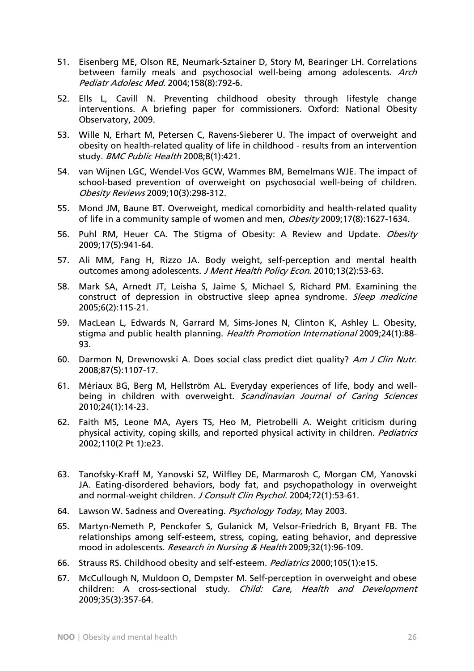- 51. Eisenberg ME, Olson RE, Neumark-Sztainer D, Story M, Bearinger LH. Correlations between family meals and psychosocial well-being among adolescents. Arch Pediatr Adolesc Med. 2004;158(8):792-6.
- 52. Ells L, Cavill N. Preventing childhood obesity through lifestyle change interventions. A briefing paper for commissioners. Oxford: National Obesity Observatory, 2009.
- 53. Wille N, Erhart M, Petersen C, Ravens-Sieberer U. The impact of overweight and obesity on health-related quality of life in childhood - results from an intervention study. BMC Public Health 2008;8(1):421.
- 54. van Wijnen LGC, Wendel-Vos GCW, Wammes BM, Bemelmans WJE. The impact of school-based prevention of overweight on psychosocial well-being of children. Obesity Reviews 2009;10(3):298-312.
- 55. Mond JM, Baune BT. Overweight, medical comorbidity and health-related quality of life in a community sample of women and men, Obesity 2009;17(8):1627-1634.
- 56. Puhl RM, Heuer CA. The Stigma of Obesity: A Review and Update. Obesity 2009;17(5):941-64.
- 57. Ali MM, Fang H, Rizzo JA. Body weight, self-perception and mental health outcomes among adolescents. J Ment Health Policy Econ. 2010;13(2):53-63.
- 58. Mark SA, Arnedt JT, Leisha S, Jaime S, Michael S, Richard PM. Examining the construct of depression in obstructive sleep apnea syndrome. Sleep medicine 2005;6(2):115-21.
- 59. MacLean L, Edwards N, Garrard M, Sims-Jones N, Clinton K, Ashley L. Obesity, stigma and public health planning. Health Promotion International 2009;24(1):88-93.
- 60. Darmon N, Drewnowski A. Does social class predict diet quality? Am J Clin Nutr. 2008;87(5):1107-17.
- 61. Mériaux BG, Berg M, Hellström AL. Everyday experiences of life, body and wellbeing in children with overweight. Scandinavian Journal of Caring Sciences 2010;24(1):14-23.
- 62. Faith MS, Leone MA, Ayers TS, Heo M, Pietrobelli A. Weight criticism during physical activity, coping skills, and reported physical activity in children. Pediatrics 2002;110(2 Pt 1):e23.
- 63. Tanofsky-Kraff M, Yanovski SZ, Wilfley DE, Marmarosh C, Morgan CM, Yanovski JA. Eating-disordered behaviors, body fat, and psychopathology in overweight and normal-weight children. J Consult Clin Psychol. 2004;72(1):53-61.
- 64. Lawson W. Sadness and Overeating. Psychology Today, May 2003.
- 65. Martyn-Nemeth P, Penckofer S, Gulanick M, Velsor-Friedrich B, Bryant FB. The relationships among self-esteem, stress, coping, eating behavior, and depressive mood in adolescents. Research in Nursing & Health 2009;32(1):96-109.
- 66. Strauss RS. Childhood obesity and self-esteem. Pediatrics 2000;105(1):e15.
- 67. McCullough N, Muldoon O, Dempster M. Self-perception in overweight and obese children: A cross-sectional study. Child: Care, Health and Development 2009;35(3):357-64.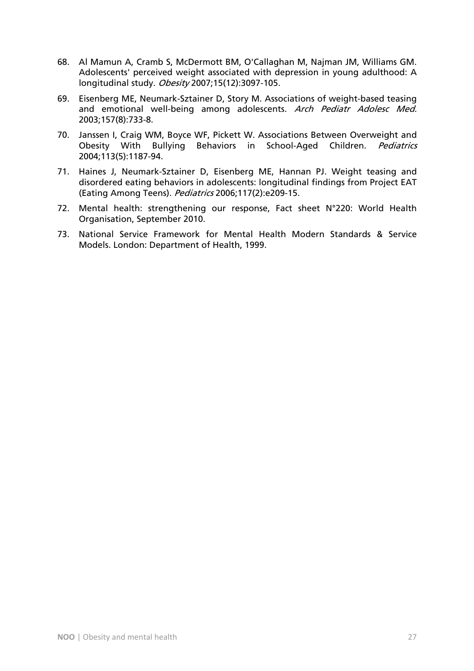- 68. Al Mamun A, Cramb S, McDermott BM, O'Callaghan M, Najman JM, Williams GM. Adolescents' perceived weight associated with depression in young adulthood: A longitudinal study. Obesity 2007;15(12):3097-105.
- 69. Eisenberg ME, Neumark-Sztainer D, Story M. Associations of weight-based teasing and emotional well-being among adolescents. Arch Pediatr Adolesc Med. 2003;157(8):733-8.
- 70. Janssen I, Craig WM, Boyce WF, Pickett W. Associations Between Overweight and Obesity With Bullying Behaviors in School-Aged Children. Pediatrics 2004;113(5):1187-94.
- 71. Haines J, Neumark-Sztainer D, Eisenberg ME, Hannan PJ. Weight teasing and disordered eating behaviors in adolescents: longitudinal findings from Project EAT (Eating Among Teens). Pediatrics 2006;117(2):e209-15.
- 72. Mental health: strengthening our response, Fact sheet N°220: World Health Organisation, September 2010.
- 73. National Service Framework for Mental Health Modern Standards & Service Models. London: Department of Health, 1999.